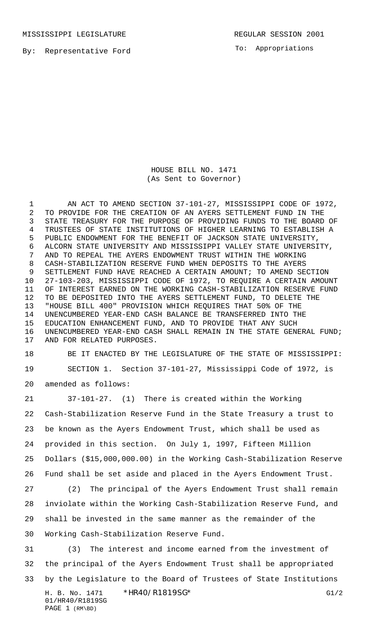MISSISSIPPI LEGISLATURE **REGULAR SESSION 2001** 

By: Representative Ford

To: Appropriations

HOUSE BILL NO. 1471 (As Sent to Governor)

1 AN ACT TO AMEND SECTION 37-101-27, MISSISSIPPI CODE OF 1972, TO PROVIDE FOR THE CREATION OF AN AYERS SETTLEMENT FUND IN THE STATE TREASURY FOR THE PURPOSE OF PROVIDING FUNDS TO THE BOARD OF TRUSTEES OF STATE INSTITUTIONS OF HIGHER LEARNING TO ESTABLISH A PUBLIC ENDOWMENT FOR THE BENEFIT OF JACKSON STATE UNIVERSITY, ALCORN STATE UNIVERSITY AND MISSISSIPPI VALLEY STATE UNIVERSITY, AND TO REPEAL THE AYERS ENDOWMENT TRUST WITHIN THE WORKING CASH-STABILIZATION RESERVE FUND WHEN DEPOSITS TO THE AYERS SETTLEMENT FUND HAVE REACHED A CERTAIN AMOUNT; TO AMEND SECTION 27-103-203, MISSISSIPPI CODE OF 1972, TO REQUIRE A CERTAIN AMOUNT OF INTEREST EARNED ON THE WORKING CASH-STABILIZATION RESERVE FUND TO BE DEPOSITED INTO THE AYERS SETTLEMENT FUND, TO DELETE THE "HOUSE BILL 400" PROVISION WHICH REQUIRES THAT 50% OF THE UNENCUMBERED YEAR-END CASH BALANCE BE TRANSFERRED INTO THE EDUCATION ENHANCEMENT FUND, AND TO PROVIDE THAT ANY SUCH UNENCUMBERED YEAR-END CASH SHALL REMAIN IN THE STATE GENERAL FUND; AND FOR RELATED PURPOSES.

 BE IT ENACTED BY THE LEGISLATURE OF THE STATE OF MISSISSIPPI: SECTION 1. Section 37-101-27, Mississippi Code of 1972, is

amended as follows:

PAGE 1 (RM\BD)

 37-101-27. (1) There is created within the Working Cash-Stabilization Reserve Fund in the State Treasury a trust to be known as the Ayers Endowment Trust, which shall be used as provided in this section. On July 1, 1997, Fifteen Million Dollars (\$15,000,000.00) in the Working Cash-Stabilization Reserve Fund shall be set aside and placed in the Ayers Endowment Trust.

 (2) The principal of the Ayers Endowment Trust shall remain inviolate within the Working Cash-Stabilization Reserve Fund, and shall be invested in the same manner as the remainder of the Working Cash-Stabilization Reserve Fund.

H. B. No. 1471 \* HR40/R1819SG\* G1/2 01/HR40/R1819SG (3) The interest and income earned from the investment of the principal of the Ayers Endowment Trust shall be appropriated by the Legislature to the Board of Trustees of State Institutions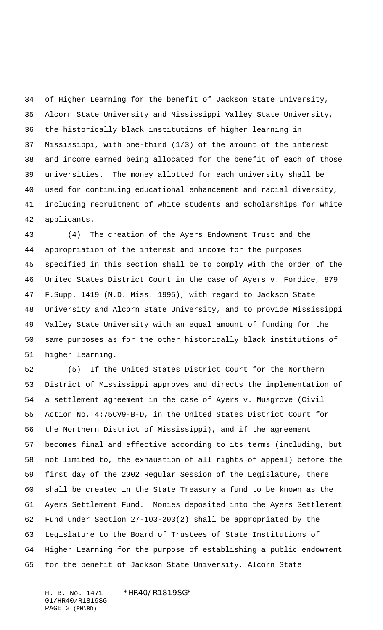of Higher Learning for the benefit of Jackson State University, Alcorn State University and Mississippi Valley State University, the historically black institutions of higher learning in Mississippi, with one-third (1/3) of the amount of the interest and income earned being allocated for the benefit of each of those universities. The money allotted for each university shall be used for continuing educational enhancement and racial diversity, including recruitment of white students and scholarships for white applicants.

 (4) The creation of the Ayers Endowment Trust and the appropriation of the interest and income for the purposes specified in this section shall be to comply with the order of the United States District Court in the case of Ayers v. Fordice, 879 F.Supp. 1419 (N.D. Miss. 1995), with regard to Jackson State University and Alcorn State University, and to provide Mississippi Valley State University with an equal amount of funding for the same purposes as for the other historically black institutions of higher learning.

 (5) If the United States District Court for the Northern District of Mississippi approves and directs the implementation of a settlement agreement in the case of Ayers v. Musgrove (Civil Action No. 4:75CV9-B-D, in the United States District Court for the Northern District of Mississippi), and if the agreement becomes final and effective according to its terms (including, but not limited to, the exhaustion of all rights of appeal) before the first day of the 2002 Regular Session of the Legislature, there shall be created in the State Treasury a fund to be known as the Ayers Settlement Fund. Monies deposited into the Ayers Settlement Fund under Section 27-103-203(2) shall be appropriated by the Legislature to the Board of Trustees of State Institutions of Higher Learning for the purpose of establishing a public endowment for the benefit of Jackson State University, Alcorn State

H. B. No. 1471 \* HR40/R1819SG\* 01/HR40/R1819SG PAGE 2 (RM\BD)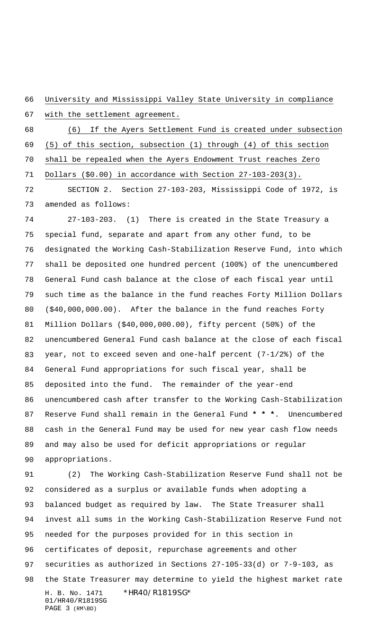University and Mississippi Valley State University in compliance

with the settlement agreement.

 (6) If the Ayers Settlement Fund is created under subsection (5) of this section, subsection (1) through (4) of this section shall be repealed when the Ayers Endowment Trust reaches Zero Dollars (\$0.00) in accordance with Section 27-103-203(3).

 SECTION 2. Section 27-103-203, Mississippi Code of 1972, is amended as follows:

 27-103-203. (1) There is created in the State Treasury a special fund, separate and apart from any other fund, to be designated the Working Cash-Stabilization Reserve Fund, into which shall be deposited one hundred percent (100%) of the unencumbered General Fund cash balance at the close of each fiscal year until such time as the balance in the fund reaches Forty Million Dollars (\$40,000,000.00). After the balance in the fund reaches Forty Million Dollars (\$40,000,000.00), fifty percent (50%) of the unencumbered General Fund cash balance at the close of each fiscal year, not to exceed seven and one-half percent (7-1/2%) of the General Fund appropriations for such fiscal year, shall be deposited into the fund. The remainder of the year-end unencumbered cash after transfer to the Working Cash-Stabilization Reserve Fund shall remain in the General Fund **\* \* \***. Unencumbered cash in the General Fund may be used for new year cash flow needs and may also be used for deficit appropriations or regular appropriations.

H. B. No. 1471 \*HR40/R1819SG\* 01/HR40/R1819SG PAGE 3 (RM\BD) (2) The Working Cash-Stabilization Reserve Fund shall not be considered as a surplus or available funds when adopting a balanced budget as required by law. The State Treasurer shall invest all sums in the Working Cash-Stabilization Reserve Fund not needed for the purposes provided for in this section in certificates of deposit, repurchase agreements and other securities as authorized in Sections 27-105-33(d) or 7-9-103, as the State Treasurer may determine to yield the highest market rate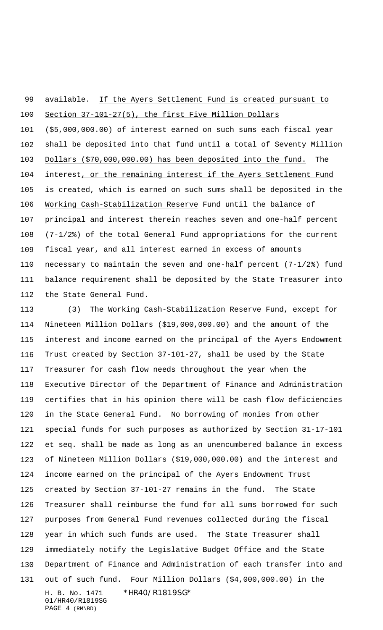## 99 available. If the Ayers Settlement Fund is created pursuant to

 Section 37-101-27(5), the first Five Million Dollars (\$5,000,000.00) of interest earned on such sums each fiscal year shall be deposited into that fund until a total of Seventy Million Dollars (\$70,000,000.00) has been deposited into the fund. The 104 interest, or the remaining interest if the Ayers Settlement Fund 105 is created, which is earned on such sums shall be deposited in the 106 Working Cash-Stabilization Reserve Fund until the balance of principal and interest therein reaches seven and one-half percent (7-1/2%) of the total General Fund appropriations for the current fiscal year, and all interest earned in excess of amounts necessary to maintain the seven and one-half percent (7-1/2%) fund balance requirement shall be deposited by the State Treasurer into the State General Fund.

H. B. No. 1471 \*HR40/R1819SG\* 01/HR40/R1819SG PAGE 4 (RM\BD) (3) The Working Cash-Stabilization Reserve Fund, except for Nineteen Million Dollars (\$19,000,000.00) and the amount of the interest and income earned on the principal of the Ayers Endowment Trust created by Section 37-101-27, shall be used by the State Treasurer for cash flow needs throughout the year when the Executive Director of the Department of Finance and Administration certifies that in his opinion there will be cash flow deficiencies in the State General Fund. No borrowing of monies from other special funds for such purposes as authorized by Section 31-17-101 et seq. shall be made as long as an unencumbered balance in excess of Nineteen Million Dollars (\$19,000,000.00) and the interest and income earned on the principal of the Ayers Endowment Trust created by Section 37-101-27 remains in the fund. The State Treasurer shall reimburse the fund for all sums borrowed for such purposes from General Fund revenues collected during the fiscal year in which such funds are used. The State Treasurer shall immediately notify the Legislative Budget Office and the State Department of Finance and Administration of each transfer into and out of such fund. Four Million Dollars (\$4,000,000.00) in the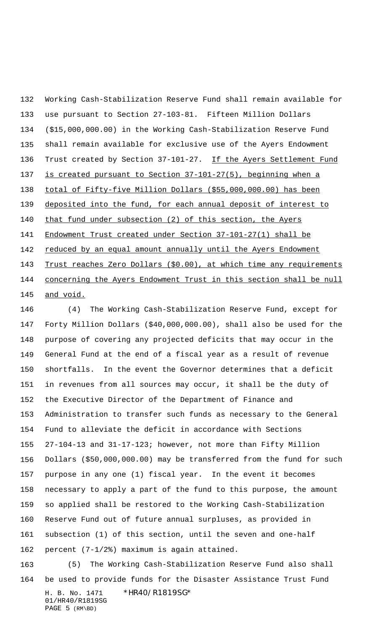Working Cash-Stabilization Reserve Fund shall remain available for use pursuant to Section 27-103-81. Fifteen Million Dollars (\$15,000,000.00) in the Working Cash-Stabilization Reserve Fund shall remain available for exclusive use of the Ayers Endowment 136 Trust created by Section 37-101-27. If the Ayers Settlement Fund is created pursuant to Section 37-101-27(5), beginning when a total of Fifty-five Million Dollars (\$55,000,000.00) has been 139 deposited into the fund, for each annual deposit of interest to 140 that fund under subsection (2) of this section, the Ayers Endowment Trust created under Section 37-101-27(1) shall be 142 reduced by an equal amount annually until the Ayers Endowment 143 Trust reaches Zero Dollars (\$0.00), at which time any requirements 144 concerning the Ayers Endowment Trust in this section shall be null 145 and void.

 (4) The Working Cash-Stabilization Reserve Fund, except for Forty Million Dollars (\$40,000,000.00), shall also be used for the purpose of covering any projected deficits that may occur in the General Fund at the end of a fiscal year as a result of revenue shortfalls. In the event the Governor determines that a deficit in revenues from all sources may occur, it shall be the duty of the Executive Director of the Department of Finance and Administration to transfer such funds as necessary to the General Fund to alleviate the deficit in accordance with Sections 27-104-13 and 31-17-123; however, not more than Fifty Million Dollars (\$50,000,000.00) may be transferred from the fund for such purpose in any one (1) fiscal year. In the event it becomes necessary to apply a part of the fund to this purpose, the amount so applied shall be restored to the Working Cash-Stabilization Reserve Fund out of future annual surpluses, as provided in subsection (1) of this section, until the seven and one-half percent (7-1/2%) maximum is again attained.

H. B. No. 1471 \*HR40/R1819SG\* 01/HR40/R1819SG PAGE 5 (RM\BD) (5) The Working Cash-Stabilization Reserve Fund also shall be used to provide funds for the Disaster Assistance Trust Fund